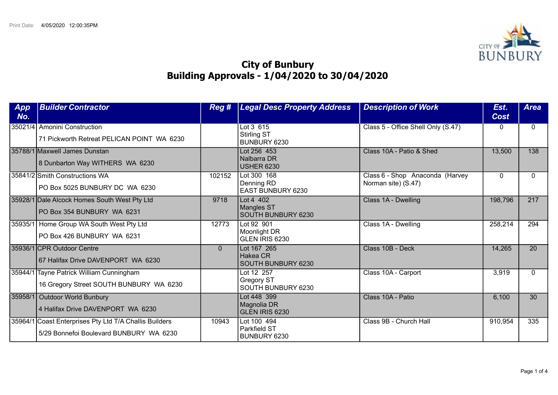

## City of Bunbury Building Approvals - 1/04/2020 to 30/04/2020

| App<br>No. | <b>Builder Contractor</b>                                                                         | Reg#     | <b>Legal Desc Property Address</b>                    | <b>Description of Work</b>                             | Est.<br><b>Cost</b> | <b>Area</b> |
|------------|---------------------------------------------------------------------------------------------------|----------|-------------------------------------------------------|--------------------------------------------------------|---------------------|-------------|
|            | 35021/4 Amonini Construction<br>71 Pickworth Retreat PELICAN POINT WA 6230                        |          | Lot 3 615<br>Stirling ST<br>BUNBURY 6230              | Class 5 - Office Shell Only (S.47)                     | 0                   | $\Omega$    |
|            | 135788/1 Maxwell James Dunstan<br>8 Dunbarton Way WITHERS WA 6230                                 |          | Lot 256 453<br>Nalbarra DR<br><b>USHER 6230</b>       | Class 10A - Patio & Shed                               | 13,500              | 138         |
|            | 35841/2 Smith Constructions WA<br>PO Box 5025 BUNBURY DC WA 6230                                  | 102152   | Lot 300 168<br>Denning RD<br><b>EAST BUNBURY 6230</b> | Class 6 - Shop Anaconda (Harvey<br>Norman site) (S.47) | $\Omega$            | 0           |
|            | 35928/1 Dale Alcock Homes South West Pty Ltd<br>PO Box 354 BUNBURY WA 6231                        | 9718     | Lot 4 402<br>Mangles ST<br><b>SOUTH BUNBURY 6230</b>  | Class 1A - Dwelling                                    | 198,796             | 217         |
|            | 35935/1 Home Group WA South West Pty Ltd<br>PO Box 426 BUNBURY WA 6231                            | 12773    | Lot 92 901<br>Moonlight DR<br>GLEN IRIS 6230          | Class 1A - Dwelling                                    | 258,214             | 294         |
|            | 35936/1 CPR Outdoor Centre<br>67 Halifax Drive DAVENPORT WA 6230                                  | $\Omega$ | Lot 167 265<br>Hakea CR<br><b>SOUTH BUNBURY 6230</b>  | Class 10B - Deck                                       | 14,265              | 20          |
|            | 35944/1 Tayne Patrick William Cunningham<br>16 Gregory Street SOUTH BUNBURY WA 6230               |          | Lot 12 257<br><b>Gregory ST</b><br>SOUTH BUNBURY 6230 | Class 10A - Carport                                    | 3,919               | $\Omega$    |
| 35958/1    | Outdoor World Bunbury<br>4 Halifax Drive DAVENPORT WA 6230                                        |          | Lot 448 399<br>Magnolia DR<br>GLEN IRIS 6230          | Class 10A - Patio                                      | 6,100               | 30          |
|            | 35964/1 Coast Enterprises Pty Ltd T/A Challis Builders<br>5/29 Bonnefoi Boulevard BUNBURY WA 6230 | 10943    | Lot 100 494<br>Parkfield ST<br>BUNBURY 6230           | Class 9B - Church Hall                                 | 910,954             | 335         |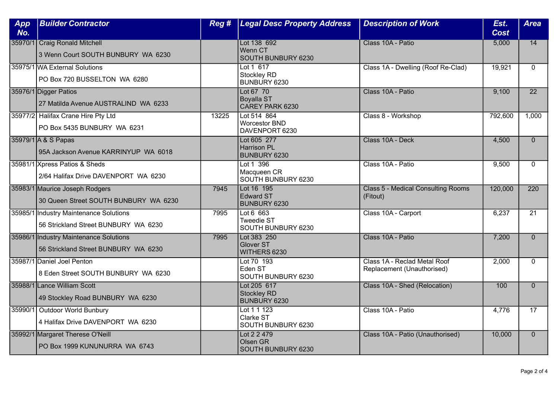| App<br>No. | <b>Builder Contractor</b>                                                      | Reg # | <b>Legal Desc Property Address</b>                       | <b>Description of Work</b>                                 | Est.<br><b>Cost</b> | <b>Area</b>     |
|------------|--------------------------------------------------------------------------------|-------|----------------------------------------------------------|------------------------------------------------------------|---------------------|-----------------|
|            | 35970/1 Craig Ronald Mitchell<br>3 Wenn Court SOUTH BUNBURY WA 6230            |       | Lot 138 692<br>Wenn CT<br>SOUTH BUNBURY 6230             | Class 10A - Patio                                          | 5,000               | $\overline{14}$ |
|            | 35975/1 WA External Solutions<br>PO Box 720 BUSSELTON WA 6280                  |       | Lot 1 617<br><b>Stockley RD</b><br>BUNBURY 6230          | Class 1A - Dwelling (Roof Re-Clad)                         | 19,921              | $\Omega$        |
|            | 35976/1 Digger Patios<br>27 Matilda Avenue AUSTRALIND WA 6233                  |       | Lot 67 70<br><b>Boyalla ST</b><br>CAREY PARK 6230        | Class 10A - Patio                                          | 9,100               | $\overline{22}$ |
|            | 35977/2 Halifax Crane Hire Pty Ltd<br>PO Box 5435 BUNBURY WA 6231              | 13225 | Lot 514 864<br><b>Worcestor BND</b><br>DAVENPORT 6230    | Class 8 - Workshop                                         | 792,600             | 1,000           |
|            | 35979/1 A & S Papas<br>95A Jackson Avenue KARRINYUP WA 6018                    |       | Lot 605 277<br><b>Harrison PL</b><br>BUNBURY 6230        | Class 10A - Deck                                           | 4,500               | $\Omega$        |
|            | 35981/1 Xpress Patios & Sheds<br>2/64 Halifax Drive DAVENPORT WA 6230          |       | Lot 1 396<br>Macqueen CR<br>SOUTH BUNBURY 6230           | Class 10A - Patio                                          | 9,500               | $\mathbf{0}$    |
|            | 35983/1 Maurice Joseph Rodgers<br>30 Queen Street SOUTH BUNBURY WA 6230        | 7945  | Lot 16 195<br><b>Edward ST</b><br>BUNBURY 6230           | <b>Class 5 - Medical Consulting Rooms</b><br>(Fitout)      | 120,000             | 220             |
|            | 35985/1 Industry Maintenance Solutions<br>56 Strickland Street BUNBURY WA 6230 | 7995  | Lot $6\,663$<br><b>Tweedie ST</b><br>SOUTH BUNBURY 6230  | Class 10A - Carport                                        | 6,237               | $\overline{21}$ |
|            | 35986/1 Industry Maintenance Solutions<br>56 Strickland Street BUNBURY WA 6230 | 7995  | Lot 383 250<br><b>Glover ST</b><br>WITHERS 6230          | Class 10A - Patio                                          | 7,200               | $\Omega$        |
|            | 35987/1 Daniel Joel Penton<br>8 Eden Street SOUTH BUNBURY WA 6230              |       | Lot 70 193<br>Eden ST<br>SOUTH BUNBURY 6230              | Class 1A - Reclad Metal Roof<br>Replacement (Unauthorised) | 2,000               | $\mathbf{0}$    |
|            | 35988/1 Lance William Scott<br>49 Stockley Road BUNBURY WA 6230                |       | Lot 205 617<br><b>Stockley RD</b><br><b>BUNBURY 6230</b> | Class 10A - Shed (Relocation)                              | 100                 | $\mathbf{0}$    |
|            | 35990/1 Outdoor World Bunbury<br>4 Halifax Drive DAVENPORT WA 6230             |       | Lot 1 1 1 2 3<br>Clarke ST<br>SOUTH BUNBURY 6230         | Class 10A - Patio                                          | 4,776               | $\overline{17}$ |
|            | 35992/1 Margaret Therese O'Neill<br>PO Box 1999 KUNUNURRA WA 6743              |       | Lot 2 2 479<br>Olsen GR<br>SOUTH BUNBURY 6230            | Class 10A - Patio (Unauthorised)                           | 10,000              | $\overline{0}$  |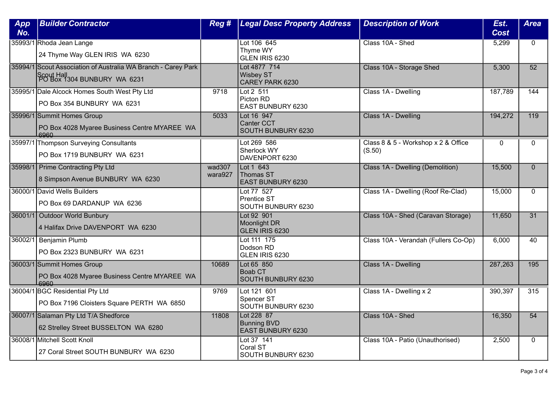| App<br>No. | <b>Builder Contractor</b>                                                                                  | Reg #             | <b>Legal Desc Property Address</b>                     | <b>Description of Work</b>                    | Est.<br><b>Cost</b> | <b>Area</b>      |
|------------|------------------------------------------------------------------------------------------------------------|-------------------|--------------------------------------------------------|-----------------------------------------------|---------------------|------------------|
|            | 35993/1 Rhoda Jean Lange<br>24 Thyme Way GLEN IRIS WA 6230                                                 |                   | Lot 106 645<br>Thyme WY<br>GLEN IRIS 6230              | Class 10A - Shed                              | 5,299               | $\Omega$         |
|            | 35994/1 Scout Association of Australia WA Branch - Carey Park<br>Scout Hall<br>PO Box 1304 BUNBURY WA 6231 |                   | Lot 4877 714<br><b>Wisbey ST</b><br>CAREY PARK 6230    | Class 10A - Storage Shed                      | 5,300               | $\overline{52}$  |
|            | 35995/1 Dale Alcock Homes South West Pty Ltd<br>PO Box 354 BUNBURY WA 6231                                 | 9718              | Lot 2 511<br>Picton RD<br>EAST BUNBURY 6230            | Class 1A - Dwelling                           | 187,789             | 144              |
|            | 35996/1 Summit Homes Group<br>PO Box 4028 Myaree Business Centre MYAREE WA                                 | 5033              | Lot 16 947<br><b>Canter CCT</b><br>SOUTH BUNBURY 6230  | Class 1A - Dwelling                           | 194,272             | $\overline{119}$ |
|            | 35997/1 Thompson Surveying Consultants<br>PO Box 1719 BUNBURY WA 6231                                      |                   | Lot 269 586<br>Sherlock WY<br>DAVENPORT 6230           | Class 8 & 5 - Workshop x 2 & Office<br>(S.50) | $\mathbf 0$         | $\Omega$         |
|            | 35998/1 Prime Contracting Pty Ltd<br>8 Simpson Avenue BUNBURY WA 6230                                      | wad307<br>wara927 | Lot 1 643<br>Thomas ST<br>EAST BUNBURY 6230            | Class 1A - Dwelling (Demolition)              | 15,500              | $\mathbf{0}$     |
|            | 36000/1 David Wells Builders<br>PO Box 69 DARDANUP WA 6236                                                 |                   | Lot 77 527<br><b>Prentice ST</b><br>SOUTH BUNBURY 6230 | Class 1A - Dwelling (Roof Re-Clad)            | 15,000              | $\Omega$         |
|            | 36001/1 Outdoor World Bunbury<br>4 Halifax Drive DAVENPORT WA 6230                                         |                   | Lot 92 901<br>Moonlight DR<br>GLEN IRIS 6230           | Class 10A - Shed (Caravan Storage)            | 11,650              | 31               |
|            | 36002/1 Benjamin Plumb<br>PO Box 2323 BUNBURY WA 6231                                                      |                   | Lot 111 175<br>Dodson RD<br>GLEN IRIS 6230             | Class 10A - Verandah (Fullers Co-Op)          | 6,000               | $\overline{40}$  |
|            | 36003/1 Summit Homes Group<br>PO Box 4028 Myaree Business Centre MYAREE WA<br>0.802                        | 10689             | Lot 65 850<br>Boab CT<br>SOUTH BUNBURY 6230            | Class 1A - Dwelling                           | 287,263             | 195              |
|            | 36004/1 BGC Residential Pty Ltd<br>PO Box 7196 Cloisters Square PERTH WA 6850                              | 9769              | Lot 121 601<br>Spencer ST<br>SOUTH BUNBURY 6230        | Class 1A - Dwelling x 2                       | 390,397             | 315              |
|            | 36007/1 Salaman Pty Ltd T/A Shedforce<br>62 Strelley Street BUSSELTON WA 6280                              | 11808             | Lot 228 87<br><b>Bunning BVD</b><br>EAST BUNBURY 6230  | Class 10A - Shed                              | 16,350              | 54               |
|            | 36008/1 Mitchell Scott Knoll<br>27 Coral Street SOUTH BUNBURY WA 6230                                      |                   | Lot 37 141<br>Coral ST<br>SOUTH BUNBURY 6230           | Class 10A - Patio (Unauthorised)              | 2,500               | $\Omega$         |